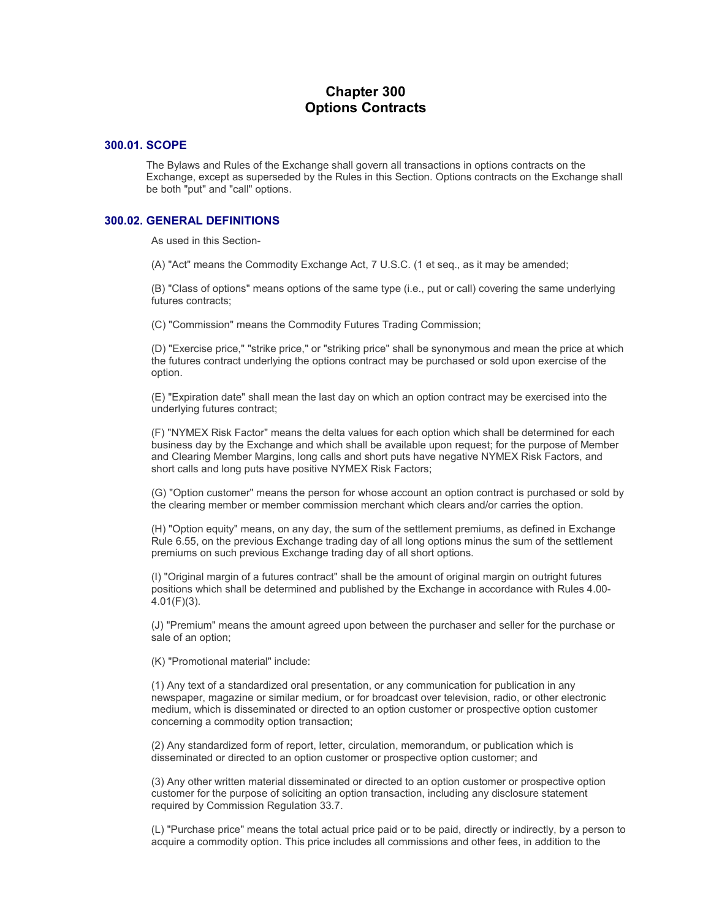# **Chapter 300 Options Contracts**

#### **300.01. SCOPE**

The Bylaws and Rules of the Exchange shall govern all transactions in options contracts on the Exchange, except as superseded by the Rules in this Section. Options contracts on the Exchange shall be both "put" and "call" options.

#### **300.02. GENERAL DEFINITIONS**

As used in this Section-

(A) "Act" means the Commodity Exchange Act, 7 U.S.C. (1 et seq., as it may be amended;

(B) "Class of options" means options of the same type (i.e., put or call) covering the same underlying futures contracts;

(C) "Commission" means the Commodity Futures Trading Commission;

(D) "Exercise price," "strike price," or "striking price" shall be synonymous and mean the price at which the futures contract underlying the options contract may be purchased or sold upon exercise of the option.

(E) "Expiration date" shall mean the last day on which an option contract may be exercised into the underlying futures contract;

(F) "NYMEX Risk Factor" means the delta values for each option which shall be determined for each business day by the Exchange and which shall be available upon request; for the purpose of Member and Clearing Member Margins, long calls and short puts have negative NYMEX Risk Factors, and short calls and long puts have positive NYMEX Risk Factors;

(G) "Option customer" means the person for whose account an option contract is purchased or sold by the clearing member or member commission merchant which clears and/or carries the option.

(H) "Option equity" means, on any day, the sum of the settlement premiums, as defined in Exchange Rule 6.55, on the previous Exchange trading day of all long options minus the sum of the settlement premiums on such previous Exchange trading day of all short options.

(I) "Original margin of a futures contract" shall be the amount of original margin on outright futures positions which shall be determined and published by the Exchange in accordance with Rules 4.00- 4.01(F)(3).

(J) "Premium" means the amount agreed upon between the purchaser and seller for the purchase or sale of an option;

(K) "Promotional material" include:

(1) Any text of a standardized oral presentation, or any communication for publication in any newspaper, magazine or similar medium, or for broadcast over television, radio, or other electronic medium, which is disseminated or directed to an option customer or prospective option customer concerning a commodity option transaction;

(2) Any standardized form of report, letter, circulation, memorandum, or publication which is disseminated or directed to an option customer or prospective option customer; and

(3) Any other written material disseminated or directed to an option customer or prospective option customer for the purpose of soliciting an option transaction, including any disclosure statement required by Commission Regulation 33.7.

(L) "Purchase price" means the total actual price paid or to be paid, directly or indirectly, by a person to acquire a commodity option. This price includes all commissions and other fees, in addition to the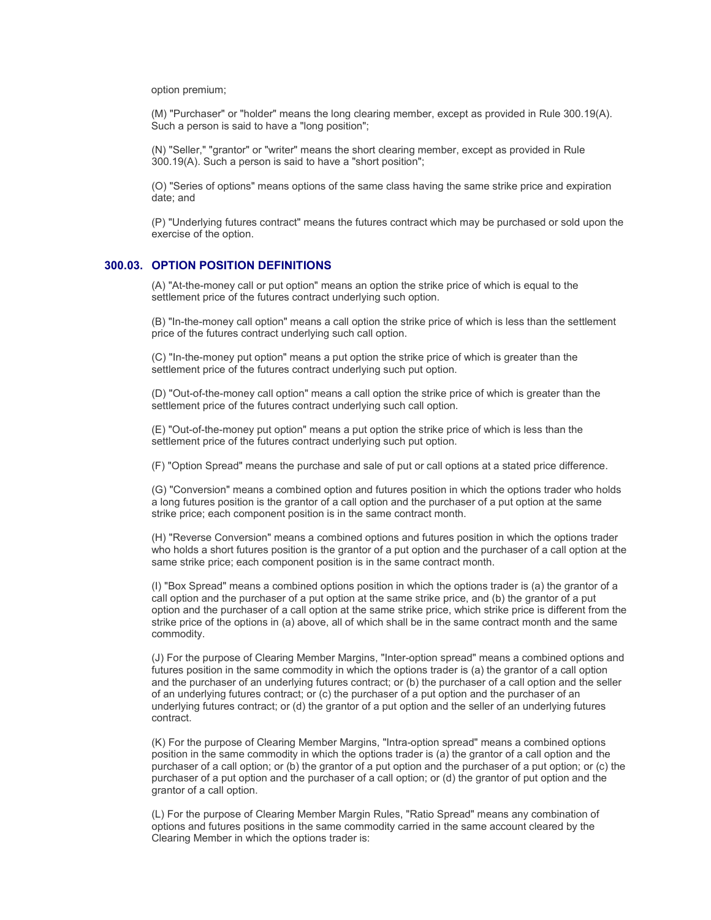option premium;

(M) "Purchaser" or "holder" means the long clearing member, except as provided in Rule 300.19(A). Such a person is said to have a "long position";

(N) "Seller," "grantor" or "writer" means the short clearing member, except as provided in Rule 300.19(A). Such a person is said to have a "short position";

(O) "Series of options" means options of the same class having the same strike price and expiration date; and

(P) "Underlying futures contract" means the futures contract which may be purchased or sold upon the exercise of the option.

#### **300.03. OPTION POSITION DEFINITIONS**

(A) "At-the-money call or put option" means an option the strike price of which is equal to the settlement price of the futures contract underlying such option.

(B) "In-the-money call option" means a call option the strike price of which is less than the settlement price of the futures contract underlying such call option.

(C) "In-the-money put option" means a put option the strike price of which is greater than the settlement price of the futures contract underlying such put option.

(D) "Out-of-the-money call option" means a call option the strike price of which is greater than the settlement price of the futures contract underlying such call option.

(E) "Out-of-the-money put option" means a put option the strike price of which is less than the settlement price of the futures contract underlying such put option.

(F) "Option Spread" means the purchase and sale of put or call options at a stated price difference.

(G) "Conversion" means a combined option and futures position in which the options trader who holds a long futures position is the grantor of a call option and the purchaser of a put option at the same strike price; each component position is in the same contract month.

(H) "Reverse Conversion" means a combined options and futures position in which the options trader who holds a short futures position is the grantor of a put option and the purchaser of a call option at the same strike price; each component position is in the same contract month.

(I) "Box Spread" means a combined options position in which the options trader is (a) the grantor of a call option and the purchaser of a put option at the same strike price, and (b) the grantor of a put option and the purchaser of a call option at the same strike price, which strike price is different from the strike price of the options in (a) above, all of which shall be in the same contract month and the same commodity.

(J) For the purpose of Clearing Member Margins, "Inter-option spread" means a combined options and futures position in the same commodity in which the options trader is (a) the grantor of a call option and the purchaser of an underlying futures contract; or (b) the purchaser of a call option and the seller of an underlying futures contract; or (c) the purchaser of a put option and the purchaser of an underlying futures contract; or (d) the grantor of a put option and the seller of an underlying futures contract.

(K) For the purpose of Clearing Member Margins, "Intra-option spread" means a combined options position in the same commodity in which the options trader is (a) the grantor of a call option and the purchaser of a call option; or (b) the grantor of a put option and the purchaser of a put option; or (c) the purchaser of a put option and the purchaser of a call option; or (d) the grantor of put option and the grantor of a call option.

(L) For the purpose of Clearing Member Margin Rules, "Ratio Spread" means any combination of options and futures positions in the same commodity carried in the same account cleared by the Clearing Member in which the options trader is: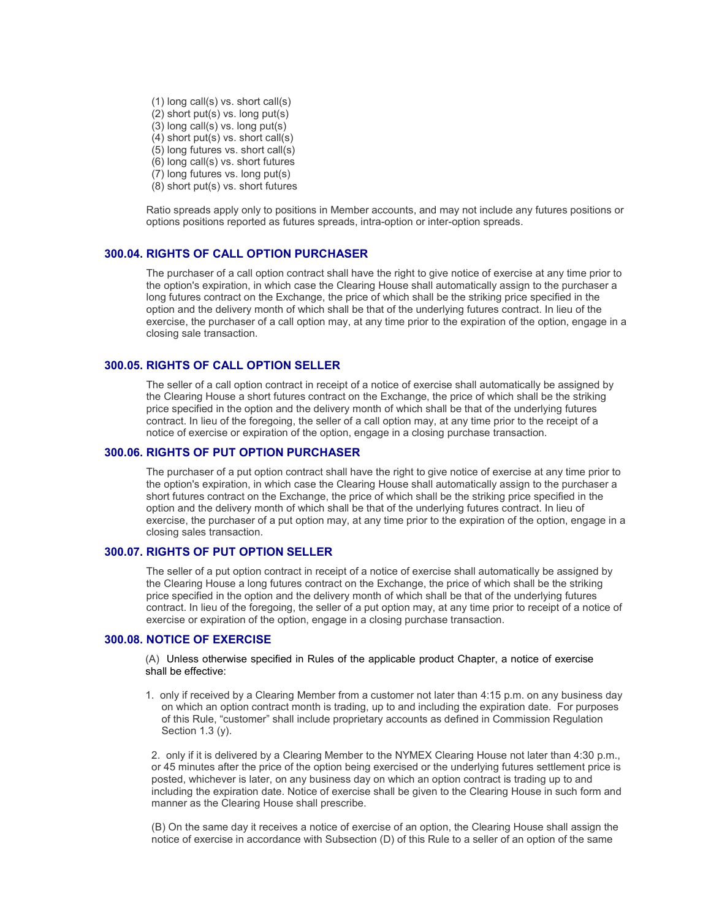(1) long call(s) vs. short call(s)  $(2)$  short put(s) vs. long put(s) (3) long call(s) vs. long put(s) (4) short put(s) vs. short call(s) (5) long futures vs. short call(s) (6) long call(s) vs. short futures (7) long futures vs. long put(s) (8) short put(s) vs. short futures

Ratio spreads apply only to positions in Member accounts, and may not include any futures positions or options positions reported as futures spreads, intra-option or inter-option spreads.

#### **300.04. RIGHTS OF CALL OPTION PURCHASER**

The purchaser of a call option contract shall have the right to give notice of exercise at any time prior to the option's expiration, in which case the Clearing House shall automatically assign to the purchaser a long futures contract on the Exchange, the price of which shall be the striking price specified in the option and the delivery month of which shall be that of the underlying futures contract. In lieu of the exercise, the purchaser of a call option may, at any time prior to the expiration of the option, engage in a closing sale transaction.

#### **300.05. RIGHTS OF CALL OPTION SELLER**

The seller of a call option contract in receipt of a notice of exercise shall automatically be assigned by the Clearing House a short futures contract on the Exchange, the price of which shall be the striking price specified in the option and the delivery month of which shall be that of the underlying futures contract. In lieu of the foregoing, the seller of a call option may, at any time prior to the receipt of a notice of exercise or expiration of the option, engage in a closing purchase transaction.

#### **300.06. RIGHTS OF PUT OPTION PURCHASER**

The purchaser of a put option contract shall have the right to give notice of exercise at any time prior to the option's expiration, in which case the Clearing House shall automatically assign to the purchaser a short futures contract on the Exchange, the price of which shall be the striking price specified in the option and the delivery month of which shall be that of the underlying futures contract. In lieu of exercise, the purchaser of a put option may, at any time prior to the expiration of the option, engage in a closing sales transaction.

#### **300.07. RIGHTS OF PUT OPTION SELLER**

The seller of a put option contract in receipt of a notice of exercise shall automatically be assigned by the Clearing House a long futures contract on the Exchange, the price of which shall be the striking price specified in the option and the delivery month of which shall be that of the underlying futures contract. In lieu of the foregoing, the seller of a put option may, at any time prior to receipt of a notice of exercise or expiration of the option, engage in a closing purchase transaction.

#### **300.08. NOTICE OF EXERCISE**

(A) Unless otherwise specified in Rules of the applicable product Chapter, a notice of exercise shall be effective:

1. only if received by a Clearing Member from a customer not later than 4:15 p.m. on any business day on which an option contract month is trading, up to and including the expiration date. For purposes of this Rule, "customer" shall include proprietary accounts as defined in Commission Regulation Section 1.3 (y).

2. only if it is delivered by a Clearing Member to the NYMEX Clearing House not later than 4:30 p.m., or 45 minutes after the price of the option being exercised or the underlying futures settlement price is posted, whichever is later, on any business day on which an option contract is trading up to and including the expiration date. Notice of exercise shall be given to the Clearing House in such form and manner as the Clearing House shall prescribe.

(B) On the same day it receives a notice of exercise of an option, the Clearing House shall assign the notice of exercise in accordance with Subsection (D) of this Rule to a seller of an option of the same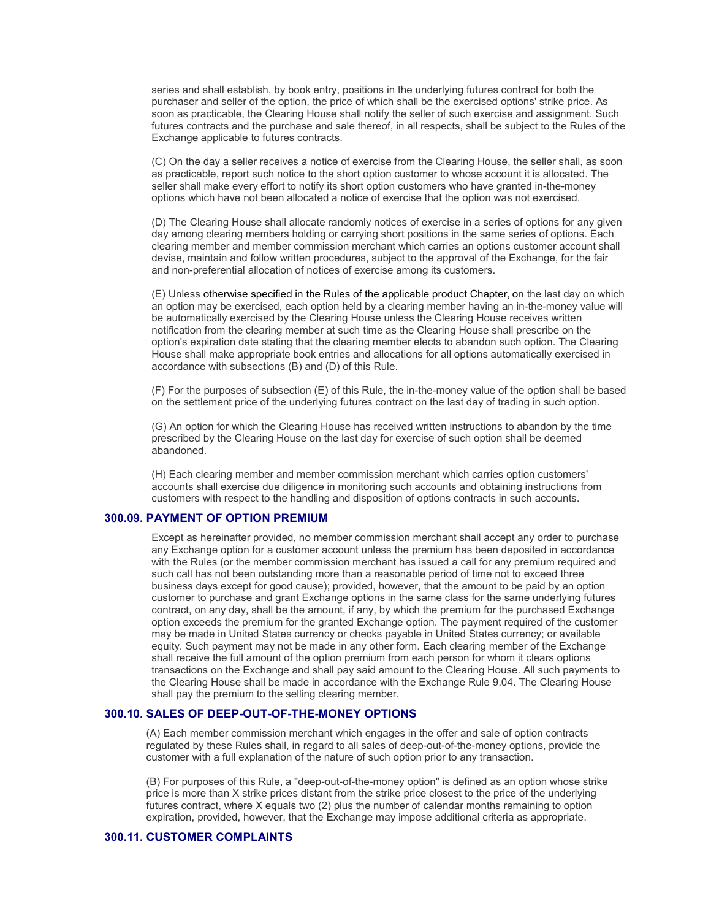series and shall establish, by book entry, positions in the underlying futures contract for both the purchaser and seller of the option, the price of which shall be the exercised options' strike price. As soon as practicable, the Clearing House shall notify the seller of such exercise and assignment. Such futures contracts and the purchase and sale thereof, in all respects, shall be subject to the Rules of the Exchange applicable to futures contracts.

(C) On the day a seller receives a notice of exercise from the Clearing House, the seller shall, as soon as practicable, report such notice to the short option customer to whose account it is allocated. The seller shall make every effort to notify its short option customers who have granted in-the-money options which have not been allocated a notice of exercise that the option was not exercised.

(D) The Clearing House shall allocate randomly notices of exercise in a series of options for any given day among clearing members holding or carrying short positions in the same series of options. Each clearing member and member commission merchant which carries an options customer account shall devise, maintain and follow written procedures, subject to the approval of the Exchange, for the fair and non-preferential allocation of notices of exercise among its customers.

(E) Unless otherwise specified in the Rules of the applicable product Chapter, on the last day on which an option may be exercised, each option held by a clearing member having an in-the-money value will be automatically exercised by the Clearing House unless the Clearing House receives written notification from the clearing member at such time as the Clearing House shall prescribe on the option's expiration date stating that the clearing member elects to abandon such option. The Clearing House shall make appropriate book entries and allocations for all options automatically exercised in accordance with subsections (B) and (D) of this Rule.

(F) For the purposes of subsection (E) of this Rule, the in-the-money value of the option shall be based on the settlement price of the underlying futures contract on the last day of trading in such option.

(G) An option for which the Clearing House has received written instructions to abandon by the time prescribed by the Clearing House on the last day for exercise of such option shall be deemed abandoned.

(H) Each clearing member and member commission merchant which carries option customers' accounts shall exercise due diligence in monitoring such accounts and obtaining instructions from customers with respect to the handling and disposition of options contracts in such accounts.

## **300.09. PAYMENT OF OPTION PREMIUM**

Except as hereinafter provided, no member commission merchant shall accept any order to purchase any Exchange option for a customer account unless the premium has been deposited in accordance with the Rules (or the member commission merchant has issued a call for any premium required and such call has not been outstanding more than a reasonable period of time not to exceed three business days except for good cause); provided, however, that the amount to be paid by an option customer to purchase and grant Exchange options in the same class for the same underlying futures contract, on any day, shall be the amount, if any, by which the premium for the purchased Exchange option exceeds the premium for the granted Exchange option. The payment required of the customer may be made in United States currency or checks payable in United States currency; or available equity. Such payment may not be made in any other form. Each clearing member of the Exchange shall receive the full amount of the option premium from each person for whom it clears options transactions on the Exchange and shall pay said amount to the Clearing House. All such payments to the Clearing House shall be made in accordance with the Exchange Rule 9.04. The Clearing House shall pay the premium to the selling clearing member.

#### **300.10. SALES OF DEEP-OUT-OF-THE-MONEY OPTIONS**

(A) Each member commission merchant which engages in the offer and sale of option contracts regulated by these Rules shall, in regard to all sales of deep-out-of-the-money options, provide the customer with a full explanation of the nature of such option prior to any transaction.

(B) For purposes of this Rule, a "deep-out-of-the-money option" is defined as an option whose strike price is more than X strike prices distant from the strike price closest to the price of the underlying futures contract, where X equals two (2) plus the number of calendar months remaining to option expiration, provided, however, that the Exchange may impose additional criteria as appropriate.

#### **300.11. CUSTOMER COMPLAINTS**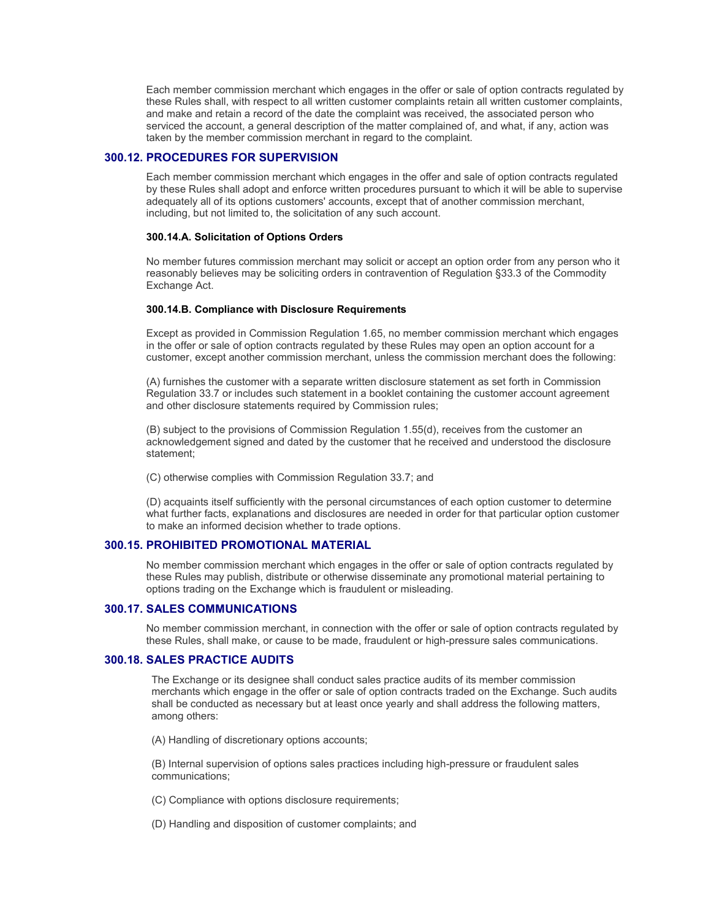Each member commission merchant which engages in the offer or sale of option contracts regulated by these Rules shall, with respect to all written customer complaints retain all written customer complaints, and make and retain a record of the date the complaint was received, the associated person who serviced the account, a general description of the matter complained of, and what, if any, action was taken by the member commission merchant in regard to the complaint.

#### **300.12. PROCEDURES FOR SUPERVISION**

Each member commission merchant which engages in the offer and sale of option contracts regulated by these Rules shall adopt and enforce written procedures pursuant to which it will be able to supervise adequately all of its options customers' accounts, except that of another commission merchant, including, but not limited to, the solicitation of any such account.

#### **300.14.A. Solicitation of Options Orders**

No member futures commission merchant may solicit or accept an option order from any person who it reasonably believes may be soliciting orders in contravention of Regulation §33.3 of the Commodity Exchange Act.

#### **300.14.B. Compliance with Disclosure Requirements**

Except as provided in Commission Regulation 1.65, no member commission merchant which engages in the offer or sale of option contracts regulated by these Rules may open an option account for a customer, except another commission merchant, unless the commission merchant does the following:

(A) furnishes the customer with a separate written disclosure statement as set forth in Commission Regulation 33.7 or includes such statement in a booklet containing the customer account agreement and other disclosure statements required by Commission rules;

(B) subject to the provisions of Commission Regulation 1.55(d), receives from the customer an acknowledgement signed and dated by the customer that he received and understood the disclosure statement;

(C) otherwise complies with Commission Regulation 33.7; and

(D) acquaints itself sufficiently with the personal circumstances of each option customer to determine what further facts, explanations and disclosures are needed in order for that particular option customer to make an informed decision whether to trade options.

#### **300.15. PROHIBITED PROMOTIONAL MATERIAL**

No member commission merchant which engages in the offer or sale of option contracts regulated by these Rules may publish, distribute or otherwise disseminate any promotional material pertaining to options trading on the Exchange which is fraudulent or misleading.

#### **300.17. SALES COMMUNICATIONS**

No member commission merchant, in connection with the offer or sale of option contracts regulated by these Rules, shall make, or cause to be made, fraudulent or high-pressure sales communications.

#### **300.18. SALES PRACTICE AUDITS**

The Exchange or its designee shall conduct sales practice audits of its member commission merchants which engage in the offer or sale of option contracts traded on the Exchange. Such audits shall be conducted as necessary but at least once yearly and shall address the following matters, among others:

(A) Handling of discretionary options accounts;

(B) Internal supervision of options sales practices including high-pressure or fraudulent sales communications;

- (C) Compliance with options disclosure requirements;
- (D) Handling and disposition of customer complaints; and